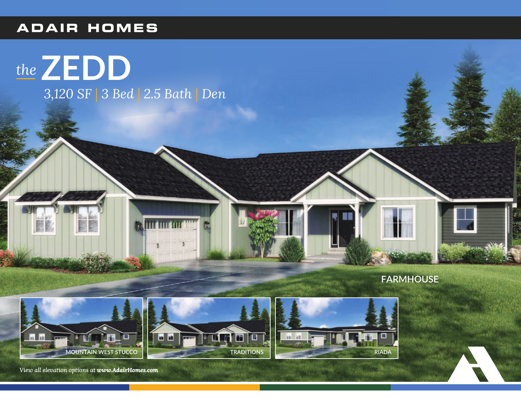## **ADAIR HOMES**

## the **ZEDD** 3,120 SF 3 Bed 2.5 Bath Den









View all elevation options at www.AdairHomes.com